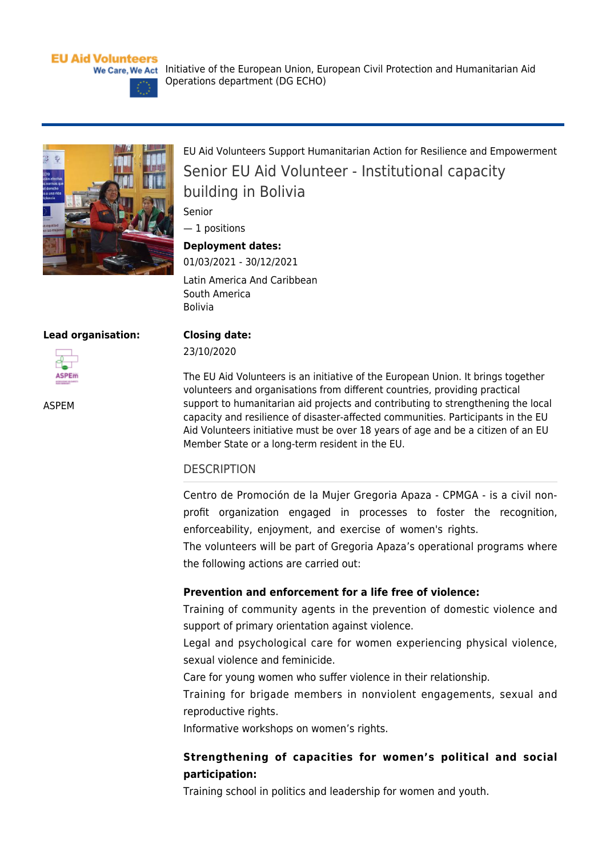## **EU Aid Volunteers**



[EU Aid Volunteers Support Humanitarian Action for Resilience and Empowerment](https://webgate.ec.europa.eu/echo/eu-aid-volunteers_en/eu-aid-volunteers-support-humanitarian-action-resilience-and-empowerment_en) Senior EU Aid Volunteer - Institutional capacity building in Bolivia

Senior

— 1 positions

## **Deployment dates:**

01/03/2021 - 30/12/2021 Latin America And Caribbean South America Bolivia

Operations department (DG ECHO)

#### **Lead organisation:**



[ASPEM](https://webgate.ec.europa.eu/echo/eu-aid-volunteers_en/aspem_en)

**Closing date:**  23/10/2020

The EU Aid Volunteers is an initiative of the European Union. It brings together volunteers and organisations from different countries, providing practical support to humanitarian aid projects and contributing to strengthening the local capacity and resilience of disaster-affected communities. Participants in the EU Aid Volunteers initiative must be over 18 years of age and be a citizen of an EU Member State or a long-term resident in the EU.

## **DESCRIPTION**

Centro de Promoción de la Mujer Gregoria Apaza - CPMGA - is a civil nonprofit organization engaged in processes to foster the recognition, enforceability, enjoyment, and exercise of women's rights.

The volunteers will be part of Gregoria Apaza's operational programs where the following actions are carried out:

## **Prevention and enforcement for a life free of violence:**

Training of community agents in the prevention of domestic violence and support of primary orientation against violence.

Legal and psychological care for women experiencing physical violence, sexual violence and feminicide.

Care for young women who suffer violence in their relationship.

Training for brigade members in nonviolent engagements, sexual and reproductive rights.

Informative workshops on women's rights.

# **Strengthening of capacities for women's political and social participation:**

Training school in politics and leadership for women and youth.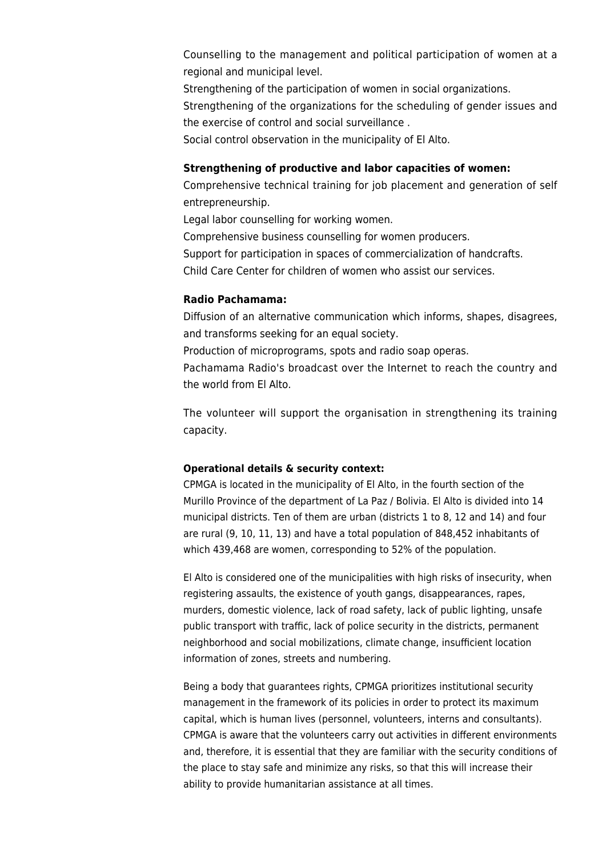Counselling to the management and political participation of women at a regional and municipal level.

Strengthening of the participation of women in social organizations.

Strengthening of the organizations for the scheduling of gender issues and the exercise of control and social surveillance .

Social control observation in the municipality of El Alto.

# **Strengthening of productive and labor capacities of women:**

Comprehensive technical training for job placement and generation of self entrepreneurship.

Legal labor counselling for working women.

Comprehensive business counselling for women producers.

Support for participation in spaces of commercialization of handcrafts.

Child Care Center for children of women who assist our services.

# **Radio Pachamama:**

Diffusion of an alternative communication which informs, shapes, disagrees, and transforms seeking for an equal society.

Production of microprograms, spots and radio soap operas.

Pachamama Radio's broadcast over the Internet to reach the country and the world from El Alto.

The volunteer will support the organisation in strengthening its training capacity.

## **Operational details & security context:**

CPMGA is located in the municipality of El Alto, in the fourth section of the Murillo Province of the department of La Paz / Bolivia. El Alto is divided into 14 municipal districts. Ten of them are urban (districts 1 to 8, 12 and 14) and four are rural (9, 10, 11, 13) and have a total population of 848,452 inhabitants of which 439,468 are women, corresponding to 52% of the population.

El Alto is considered one of the municipalities with high risks of insecurity, when registering assaults, the existence of youth gangs, disappearances, rapes, murders, domestic violence, lack of road safety, lack of public lighting, unsafe public transport with traffic, lack of police security in the districts, permanent neighborhood and social mobilizations, climate change, insufficient location information of zones, streets and numbering.

Being a body that guarantees rights, CPMGA prioritizes institutional security management in the framework of its policies in order to protect its maximum capital, which is human lives (personnel, volunteers, interns and consultants). CPMGA is aware that the volunteers carry out activities in different environments and, therefore, it is essential that they are familiar with the security conditions of the place to stay safe and minimize any risks, so that this will increase their ability to provide humanitarian assistance at all times.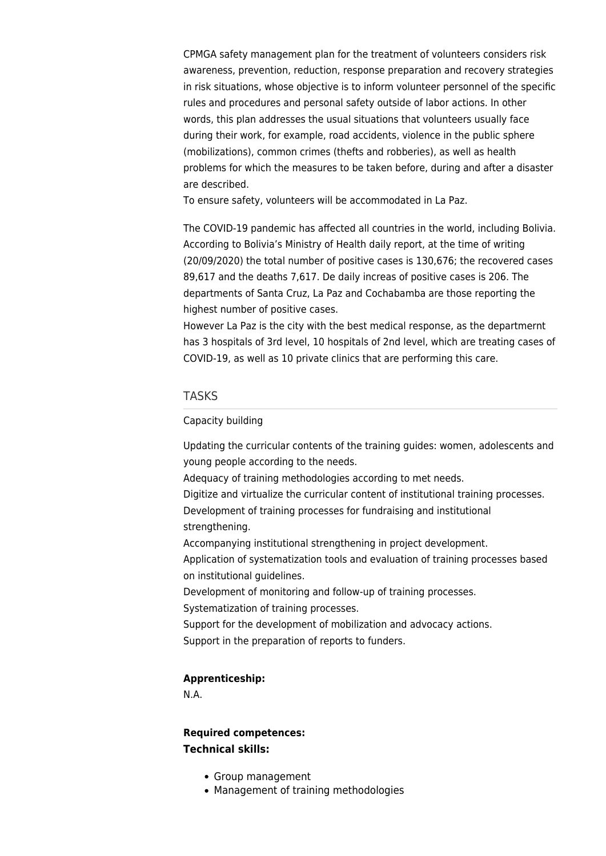CPMGA safety management plan for the treatment of volunteers considers risk awareness, prevention, reduction, response preparation and recovery strategies in risk situations, whose objective is to inform volunteer personnel of the specific rules and procedures and personal safety outside of labor actions. In other words, this plan addresses the usual situations that volunteers usually face during their work, for example, road accidents, violence in the public sphere (mobilizations), common crimes (thefts and robberies), as well as health problems for which the measures to be taken before, during and after a disaster are described.

To ensure safety, volunteers will be accommodated in La Paz.

The COVID-19 pandemic has affected all countries in the world, including Bolivia. According to Bolivia's Ministry of Health daily report, at the time of writing (20/09/2020) the total number of positive cases is 130,676; the recovered cases 89,617 and the deaths 7,617. De daily increas of positive cases is 206. The departments of Santa Cruz, La Paz and Cochabamba are those reporting the highest number of positive cases.

However La Paz is the city with the best medical response, as the departmernt has 3 hospitals of 3rd level, 10 hospitals of 2nd level, which are treating cases of COVID-19, as well as 10 private clinics that are performing this care.

## TASKS

## Capacity building

Updating the curricular contents of the training guides: women, adolescents and young people according to the needs.

Adequacy of training methodologies according to met needs.

Digitize and virtualize the curricular content of institutional training processes.

Development of training processes for fundraising and institutional strengthening.

Accompanying institutional strengthening in project development.

Application of systematization tools and evaluation of training processes based on institutional guidelines.

Development of monitoring and follow-up of training processes.

Systematization of training processes.

Support for the development of mobilization and advocacy actions. Support in the preparation of reports to funders.

## **Apprenticeship:**

N.A.

# **Required competences: Technical skills:**

- Group management
- Management of training methodologies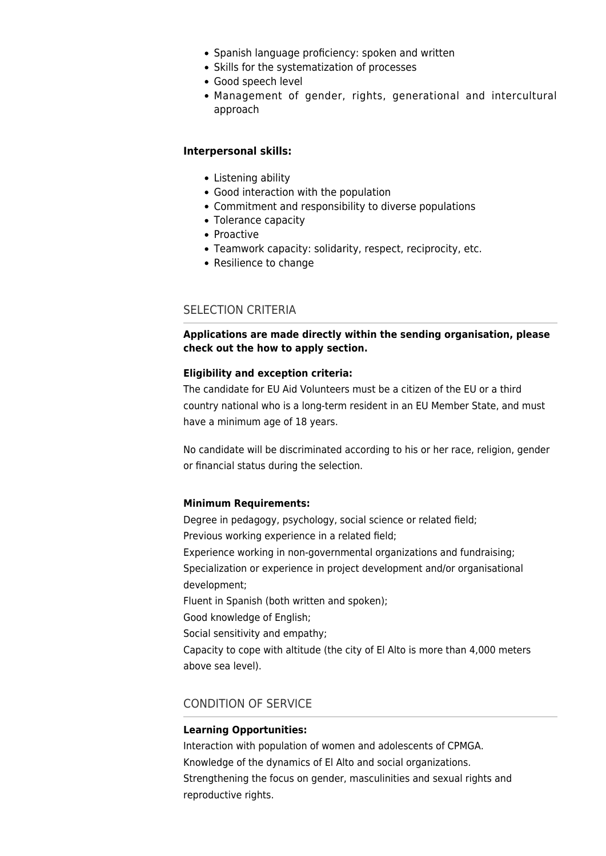- Spanish language proficiency: spoken and written
- Skills for the systematization of processes
- Good speech level
- Management of gender, rights, generational and intercultural approach

## **Interpersonal skills:**

- Listening ability
- Good interaction with the population
- Commitment and responsibility to diverse populations
- Tolerance capacity
- Proactive
- Teamwork capacity: solidarity, respect, reciprocity, etc.
- Resilience to change

# SELECTION CRITERIA

**Applications are made directly within the sending organisation, please check out the [how to apply](https://webgate.ec.europa.eu/echo/eu-aid-volunteers_en/how-apply_en) section.**

## **Eligibility and exception criteria:**

The candidate for EU Aid Volunteers must be a citizen of the EU or a third country national who is a long-term resident in an EU Member State, and must have a minimum age of 18 years.

No candidate will be discriminated according to his or her race, religion, gender or financial status during the selection.

## **Minimum Requirements:**

Degree in pedagogy, psychology, social science or related field; Previous working experience in a related field; Experience working in non-governmental organizations and fundraising;

Specialization or experience in project development and/or organisational development;

Fluent in Spanish (both written and spoken);

Good knowledge of English;

Social sensitivity and empathy;

Capacity to cope with altitude (the city of El Alto is more than 4,000 meters above sea level).

# CONDITION OF SERVICE

# **Learning Opportunities:**

Interaction with population of women and adolescents of CPMGA. Knowledge of the dynamics of El Alto and social organizations. Strengthening the focus on gender, masculinities and sexual rights and reproductive rights.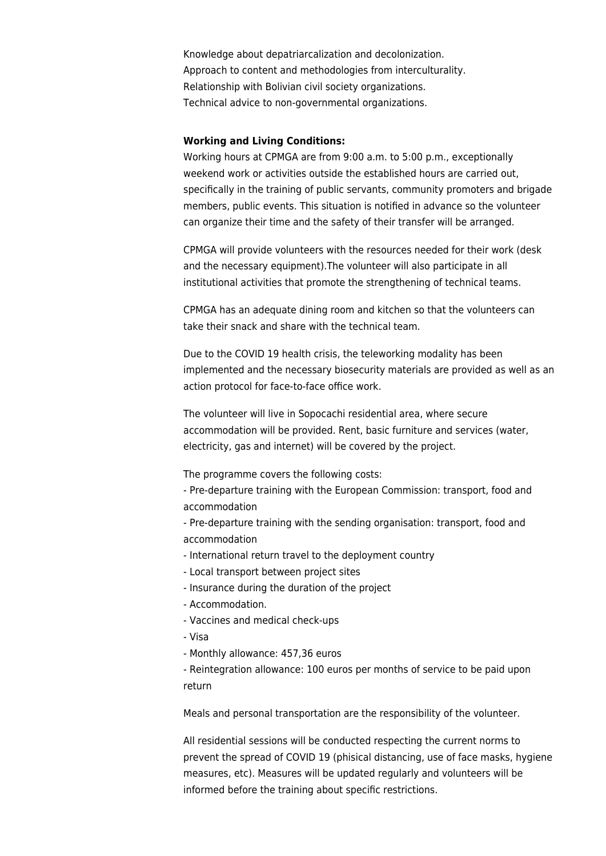Knowledge about depatriarcalization and decolonization. Approach to content and methodologies from interculturality. Relationship with Bolivian civil society organizations. Technical advice to non-governmental organizations.

## **Working and Living Conditions:**

Working hours at CPMGA are from 9:00 a.m. to 5:00 p.m., exceptionally weekend work or activities outside the established hours are carried out, specifically in the training of public servants, community promoters and brigade members, public events. This situation is notified in advance so the volunteer can organize their time and the safety of their transfer will be arranged.

CPMGA will provide volunteers with the resources needed for their work (desk and the necessary equipment).The volunteer will also participate in all institutional activities that promote the strengthening of technical teams.

CPMGA has an adequate dining room and kitchen so that the volunteers can take their snack and share with the technical team.

Due to the COVID 19 health crisis, the teleworking modality has been implemented and the necessary biosecurity materials are provided as well as an action protocol for face-to-face office work.

The volunteer will live in Sopocachi residential area, where secure accommodation will be provided. Rent, basic furniture and services (water, electricity, gas and internet) will be covered by the project.

The programme covers the following costs:

- Pre-departure training with the European Commission: transport, food and accommodation

- Pre-departure training with the sending organisation: transport, food and accommodation

- International return travel to the deployment country
- Local transport between project sites
- Insurance during the duration of the project
- Accommodation.
- Vaccines and medical check-ups
- Visa
- Monthly allowance: 457,36 euros

- Reintegration allowance: 100 euros per months of service to be paid upon return

Meals and personal transportation are the responsibility of the volunteer.

All residential sessions will be conducted respecting the current norms to prevent the spread of COVID 19 (phisical distancing, use of face masks, hygiene measures, etc). Measures will be updated regularly and volunteers will be informed before the training about specific restrictions.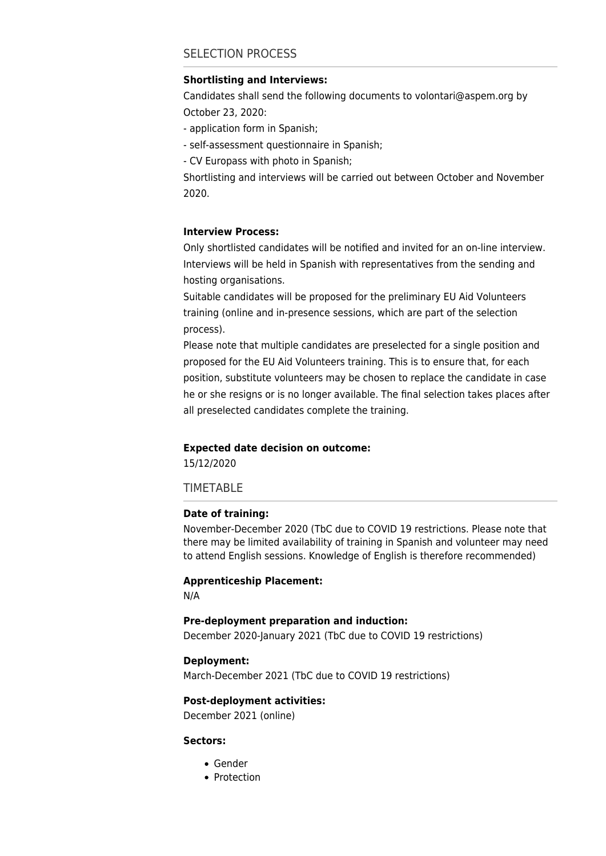# SELECTION PROCESS

### **Shortlisting and Interviews:**

Candidates shall send the following documents to [volontari@aspem.org](mailto:volontari@aspem.org) by October 23, 2020:

- application form in Spanish;

- self-assessment questionnaire in Spanish;

- CV Europass with photo in Spanish;

Shortlisting and interviews will be carried out between October and November 2020.

## **Interview Process:**

Only shortlisted candidates will be notified and invited for an on-line interview. Interviews will be held in Spanish with representatives from the sending and hosting organisations.

Suitable candidates will be proposed for the preliminary EU Aid Volunteers training (online and in-presence sessions, which are part of the selection process).

Please note that multiple candidates are preselected for a single position and proposed for the EU Aid Volunteers training. This is to ensure that, for each position, substitute volunteers may be chosen to replace the candidate in case he or she resigns or is no longer available. The final selection takes places after all preselected candidates complete the training.

#### **Expected date decision on outcome:**

15/12/2020

TIMETABLE

#### **Date of training:**

November-December 2020 (TbC due to COVID 19 restrictions. Please note that there may be limited availability of training in Spanish and volunteer may need to attend English sessions. Knowledge of English is therefore recommended)

#### **Apprenticeship Placement:**

N/A

#### **Pre-deployment preparation and induction:**

December 2020-January 2021 (TbC due to COVID 19 restrictions)

### **Deployment:**

March-December 2021 (TbC due to COVID 19 restrictions)

## **Post-deployment activities:**

December 2021 (online)

## **Sectors:**

- [Gender](https://webgate.ec.europa.eu/echo/eu-aid-volunteers_en/sectors/gender_en)
- [Protection](https://webgate.ec.europa.eu/echo/eu-aid-volunteers_en/sectors/protection_en)